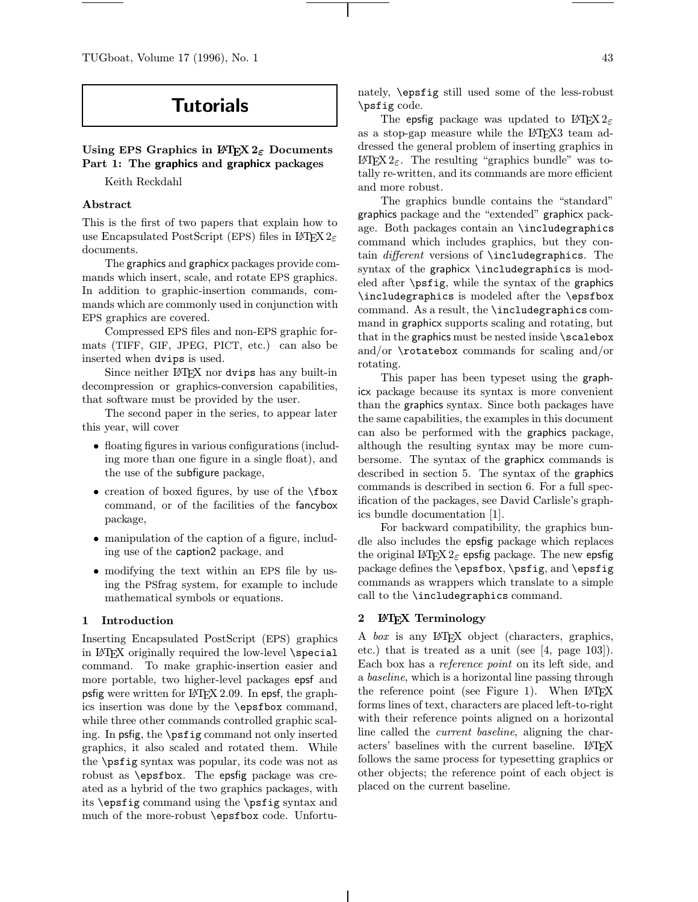TUGboat, Volume 17 (1996), No. 1 43

# Tutorials

# Using EPS Graphics in  $\mathbb{F} \mathbb{F} \mathbb{F} \mathbb{X}$  2<sub>ε</sub> Documents Part 1: The graphics and graphicx packages

Keith Reckdahl

# Abstract

This is the first of two papers that explain how to use Encapsulated PostScript (EPS) files in LATEX  $2\varepsilon$ documents.

The graphics and graphicx packages provide commands which insert, scale, and rotate EPS graphics. In addition to graphic-insertion commands, commands which are commonly used in conjunction with EPS graphics are covered.

Compressed EPS files and non-EPS graphic formats (TIFF, GIF, JPEG, PICT, etc.) can also be inserted when dvips is used.

Since neither LAT<sub>EX</sub> nor dvips has any built-in decompression or graphics-conversion capabilities, that software must be provided by the user.

The second paper in the series, to appear later this year, will cover

- floating figures in various configurations (including more than one figure in a single float), and the use of the subfigure package,
- creation of boxed figures, by use of the **\fbox** command, or of the facilities of the fancybox package,
- manipulation of the caption of a figure, including use of the caption2 package, and
- modifying the text within an EPS file by using the PSfrag system, for example to include mathematical symbols or equations.

#### 1 Introduction

Inserting Encapsulated PostScript (EPS) graphics in L<sup>A</sup>TEX originally required the low-level \special command. To make graphic-insertion easier and more portable, two higher-level packages epsf and psfig were written for L<sup>A</sup>TEX 2.09. In epsf, the graphics insertion was done by the \epsfbox command, while three other commands controlled graphic scaling. In psfig, the \psfig command not only inserted graphics, it also scaled and rotated them. While the \psfig syntax was popular, its code was not as robust as \epsfbox. The epsfig package was created as a hybrid of the two graphics packages, with its \epsfig command using the \psfig syntax and much of the more-robust \epsfbox code. Unfortu-

The epsfig package was updated to L<sup>AT</sup>FX 2<sub>ε</sub> as a stop-gap measure while the LAT<sub>EX3</sub> team addressed the general problem of inserting graphics in LAT<sub>E</sub>X 2<sub>ε</sub>. The resulting "graphics bundle" was totally re-written, and its commands are more efficient and more robust.

The graphics bundle contains the "standard" graphics package and the "extended" graphicx package. Both packages contain an \includegraphics command which includes graphics, but they contain different versions of  $\int$ includegraphics. The syntax of the graphicx \includegraphics is modeled after \psfig, while the syntax of the graphics \includegraphics is modeled after the \epsfbox command. As a result, the \includegraphics command in graphicx supports scaling and rotating, but that in the graphics must be nested inside \scalebox and/or \rotatebox commands for scaling and/or rotating.

This paper has been typeset using the graphicx package because its syntax is more convenient than the graphics syntax. Since both packages have the same capabilities, the examples in this document can also be performed with the graphics package, although the resulting syntax may be more cumbersome. The syntax of the graphicx commands is described in section 5. The syntax of the graphics commands is described in section 6. For a full specification of the packages, see David Carlisle's graphics bundle documentation [1].

For backward compatibility, the graphics bundle also includes the epsfig package which replaces the original LAT<sub>E</sub>X 2<sub>ε</sub> epsfig package. The new epsfig package defines the \epsfbox, \psfig, and \epsfig commands as wrappers which translate to a simple call to the \includegraphics command.

# 2 **LATEX** Terminology

A box is any L<sup>A</sup>TEX object (characters, graphics, etc.) that is treated as a unit (see [4, page 103]). Each box has a reference point on its left side, and a baseline, which is a horizontal line passing through the reference point (see Figure 1). When  $\text{LFT}X$ forms lines of text, characters are placed left-to-right with their reference points aligned on a horizontal line called the current baseline, aligning the characters' baselines with the current baseline. LATEX follows the same process for typesetting graphics or other objects; the reference point of each object is placed on the current baseline.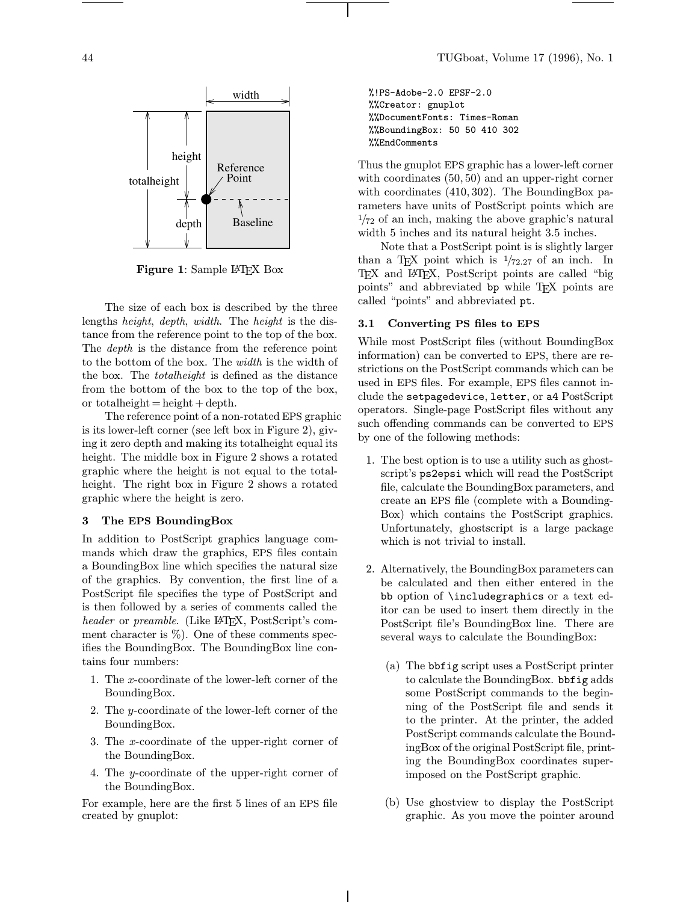

Figure 1: Sample L<sup>AT</sup>FX Box

The size of each box is described by the three lengths height, depth, width. The height is the distance from the reference point to the top of the box. The *depth* is the distance from the reference point to the bottom of the box. The width is the width of the box. The totalheight is defined as the distance from the bottom of the box to the top of the box, or totalheight  $=$  height  $+$  depth.

The reference point of a non-rotated EPS graphic is its lower-left corner (see left box in Figure 2), giving it zero depth and making its totalheight equal its height. The middle box in Figure 2 shows a rotated graphic where the height is not equal to the totalheight. The right box in Figure 2 shows a rotated graphic where the height is zero.

#### 3 The EPS BoundingBox

In addition to PostScript graphics language commands which draw the graphics, EPS files contain a BoundingBox line which specifies the natural size of the graphics. By convention, the first line of a PostScript file specifies the type of PostScript and is then followed by a series of comments called the header or preamble. (Like L<sup>AT</sup>EX, PostScript's comment character is  $\%$ ). One of these comments specifies the BoundingBox. The BoundingBox line contains four numbers:

- 1. The x-coordinate of the lower-left corner of the BoundingBox.
- 2. The y-coordinate of the lower-left corner of the BoundingBox.
- 3. The x-coordinate of the upper-right corner of the BoundingBox.
- 4. The y-coordinate of the upper-right corner of the BoundingBox.

For example, here are the first 5 lines of an EPS file created by gnuplot:

%!PS-Adobe-2.0 EPSF-2.0 %%Creator: gnuplot %%DocumentFonts: Times-Roman %%BoundingBox: 50 50 410 302 %%EndComments

Thus the gnuplot EPS graphic has a lower-left corner with coordinates (50, 50) and an upper-right corner with coordinates (410, 302). The BoundingBox parameters have units of PostScript points which are  $\frac{1}{72}$  of an inch, making the above graphic's natural width 5 inches and its natural height 3.5 inches.

Note that a PostScript point is is slightly larger than a T<sub>E</sub>X point which is  $1/72.27$  of an inch. In TEX and L<sup>A</sup>TEX, PostScript points are called "big points" and abbreviated bp while TEX points are called "points" and abbreviated pt.

#### 3.1 Converting PS files to EPS

While most PostScript files (without BoundingBox information) can be converted to EPS, there are restrictions on the PostScript commands which can be used in EPS files. For example, EPS files cannot include the setpagedevice, letter, or a4 PostScript operators. Single-page PostScript files without any such offending commands can be converted to EPS by one of the following methods:

- 1. The best option is to use a utility such as ghostscript's ps2epsi which will read the PostScript file, calculate the BoundingBox parameters, and create an EPS file (complete with a Bounding-Box) which contains the PostScript graphics. Unfortunately, ghostscript is a large package which is not trivial to install.
- 2. Alternatively, the BoundingBox parameters can be calculated and then either entered in the bb option of \includegraphics or a text editor can be used to insert them directly in the PostScript file's BoundingBox line. There are several ways to calculate the BoundingBox:
	- (a) The bbfig script uses a PostScript printer to calculate the BoundingBox. bbfig adds some PostScript commands to the beginning of the PostScript file and sends it to the printer. At the printer, the added PostScript commands calculate the BoundingBox of the original PostScript file, printing the BoundingBox coordinates superimposed on the PostScript graphic.
	- (b) Use ghostview to display the PostScript graphic. As you move the pointer around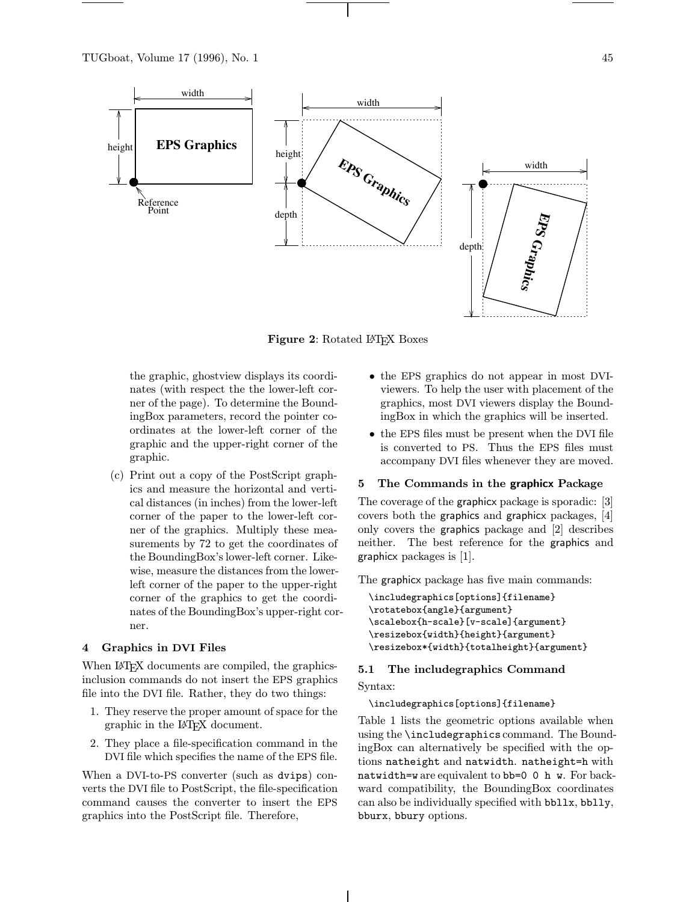

Figure 2: Rotated LAT<sub>F</sub>X Boxes

the graphic, ghostview displays its coordinates (with respect the the lower-left corner of the page). To determine the BoundingBox parameters, record the pointer coordinates at the lower-left corner of the graphic and the upper-right corner of the graphic.

(c) Print out a copy of the PostScript graphics and measure the horizontal and vertical distances (in inches) from the lower-left corner of the paper to the lower-left corner of the graphics. Multiply these measurements by 72 to get the coordinates of the BoundingBox's lower-left corner. Likewise, measure the distances from the lowerleft corner of the paper to the upper-right corner of the graphics to get the coordinates of the BoundingBox's upper-right corner.

#### 4 Graphics in DVI Files

When LAT<sub>EX</sub> documents are compiled, the graphicsinclusion commands do not insert the EPS graphics file into the DVI file. Rather, they do two things:

- 1. They reserve the proper amount of space for the graphic in the L<sup>A</sup>TEX document.
- 2. They place a file-specification command in the DVI file which specifies the name of the EPS file.

When a DVI-to-PS converter (such as dvips) converts the DVI file to PostScript, the file-specification command causes the converter to insert the EPS graphics into the PostScript file. Therefore,

- the EPS graphics do not appear in most DVIviewers. To help the user with placement of the graphics, most DVI viewers display the BoundingBox in which the graphics will be inserted.
- the EPS files must be present when the DVI file is converted to PS. Thus the EPS files must accompany DVI files whenever they are moved.

#### 5 The Commands in the graphicx Package

The coverage of the graphicx package is sporadic: [3] covers both the graphics and graphicx packages, [4] only covers the graphics package and [2] describes neither. The best reference for the graphics and graphicx packages is [1].

The graphicx package has five main commands:

```
\includegraphics[options]{filename}
\rotatebox{angle}{argument}
\scalebox{h-scale}[v-scale]{argument}
\resizebox{width}{height}{argument}
\resizebox*{width}{totalheight}{argument}
```
# 5.1 The includegraphics Command

# Syntax:

\includegraphics[options]{filename}

Table 1 lists the geometric options available when using the \includegraphics command. The BoundingBox can alternatively be specified with the options natheight and natwidth. natheight=h with natwidth=w are equivalent to bb=0 0 h w. For backward compatibility, the BoundingBox coordinates can also be individually specified with bbllx, bblly, bburx, bbury options.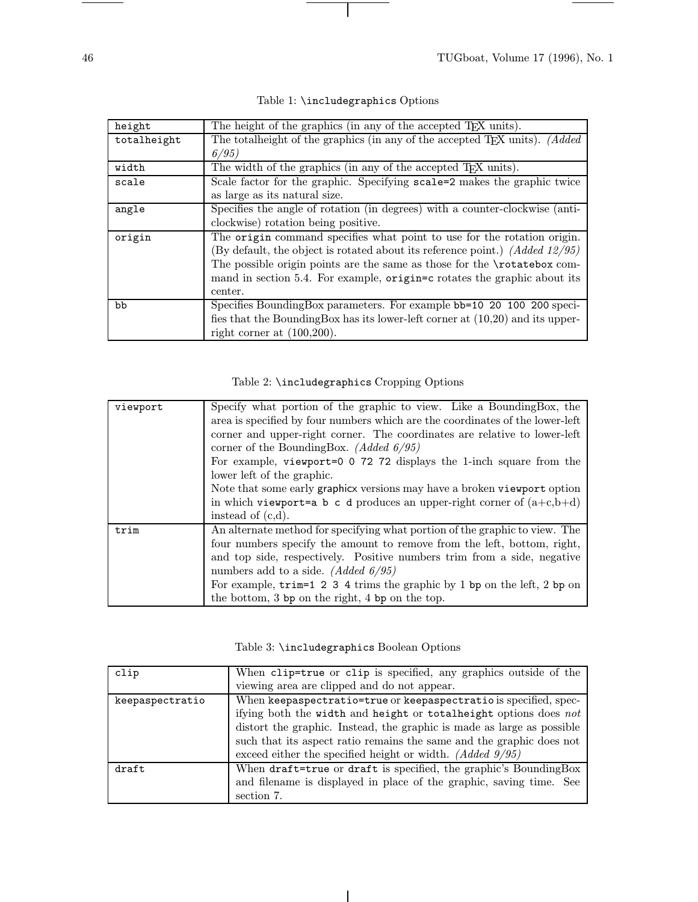e.

 $\overline{\phantom{a}}$ 

| height      | The height of the graphics (in any of the accepted T <sub>F</sub> X units).     |  |
|-------------|---------------------------------------------------------------------------------|--|
| totalheight | The total height of the graphics (in any of the accepted TFX units). (Added     |  |
|             | 6/95                                                                            |  |
| width       | The width of the graphics (in any of the accepted T <sub>F</sub> X units).      |  |
| scale       | Scale factor for the graphic. Specifying scale=2 makes the graphic twice        |  |
|             | as large as its natural size.                                                   |  |
| angle       | Specifies the angle of rotation (in degrees) with a counter-clockwise (anti-    |  |
|             | clockwise) rotation being positive.                                             |  |
| origin      | The origin command specifies what point to use for the rotation origin.         |  |
|             | (By default, the object is rotated about its reference point.) (Added $12/95$ ) |  |
|             | The possible origin points are the same as those for the \rotatebox com-        |  |
|             | mand in section 5.4. For example, origin=c rotates the graphic about its        |  |
|             | center.                                                                         |  |
| bb          | Specifies BoundingBox parameters. For example bb=10 20 100 200 speci-           |  |
|             | fies that the BoundingBox has its lower-left corner at $(10,20)$ and its upper- |  |
|             | right corner at $(100,200)$ .                                                   |  |

# Table 2: \includegraphics Cropping Options

| viewport | Specify what portion of the graphic to view. Like a BoundingBox, the              |
|----------|-----------------------------------------------------------------------------------|
|          | area is specified by four numbers which are the coordinates of the lower-left     |
|          | corner and upper-right corner. The coordinates are relative to lower-left         |
|          | corner of the BoundingBox. (Added $6/95$ )                                        |
|          | For example, viewport=0 0 72 72 displays the 1-inch square from the               |
|          | lower left of the graphic.                                                        |
|          | Note that some early graphicx versions may have a broken viewport option          |
|          | in which viewport=a b c d produces an upper-right corner of $(a+c,b+d)$           |
|          | instead of $(c,d)$ .                                                              |
| trim     | An alternate method for specifying what portion of the graphic to view. The       |
|          | four numbers specify the amount to remove from the left, bottom, right,           |
|          | and top side, respectively. Positive numbers trim from a side, negative           |
|          | numbers add to a side. <i>(Added 6/95)</i>                                        |
|          | For example, $\text{trim=1 2 3 4}$ trims the graphic by 1 bp on the left, 2 bp on |
|          | the bottom, 3 bp on the right, 4 bp on the top.                                   |

|  | Table 3: \includegraphics Boolean Options |  |  |
|--|-------------------------------------------|--|--|
|--|-------------------------------------------|--|--|

| clip            | When clip=true or clip is specified, any graphics outside of the       |  |
|-----------------|------------------------------------------------------------------------|--|
|                 | viewing area are clipped and do not appear.                            |  |
| keepaspectratio | When keepaspectratio=true or keepaspectratio is specified, spec-       |  |
|                 | ifying both the width and height or totalheight options does not       |  |
|                 | distort the graphic. Instead, the graphic is made as large as possible |  |
|                 | such that its aspect ratio remains the same and the graphic does not   |  |
|                 | exceed either the specified height or width. (Added $9/95$ )           |  |
| draft           | When draft=true or draft is specified, the graphic's BoundingBox       |  |
|                 | and filename is displayed in place of the graphic, saving time. See    |  |
|                 | section 7.                                                             |  |

 $\overline{\phantom{a}}$ 

 $\overline{\phantom{0}}$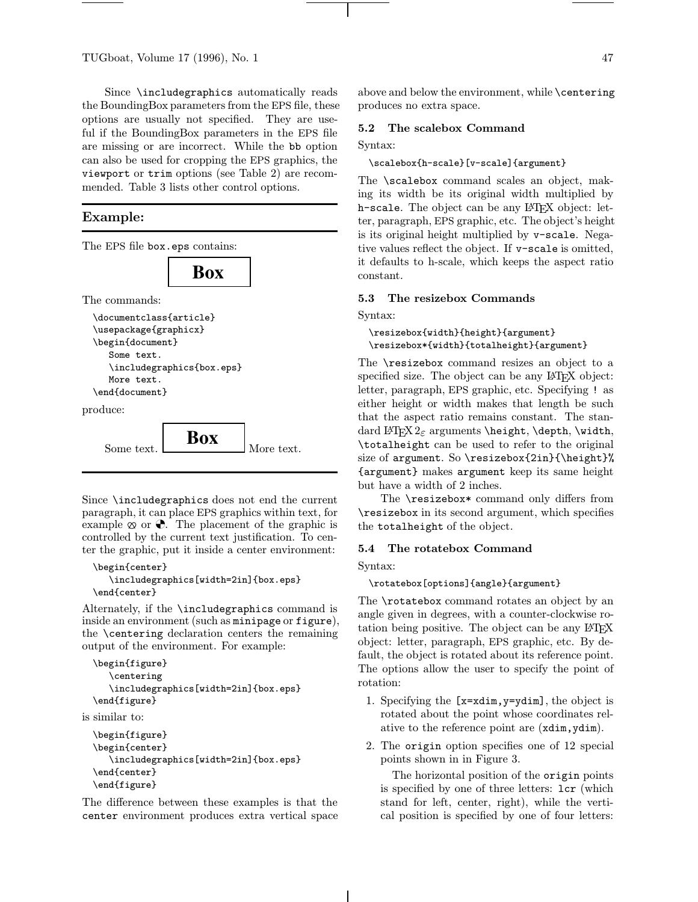TUGboat, Volume 17 (1996), No. 1  $47$ 

Since \includegraphics automatically reads the BoundingBox parameters from the EPS file, these options are usually not specified. They are useful if the BoundingBox parameters in the EPS file are missing or are incorrect. While the bb option can also be used for cropping the EPS graphics, the viewport or trim options (see Table 2) are recommended. Table 3 lists other control options.

**Box**

# Example:

The EPS file box.eps contains:

The commands:

```
\documentclass{article}
\usepackage{graphicx}
\begin{document}
   Some text.
   \includegraphics{box.eps}
   More text.
\end{document}
```
produce:



Since \includegraphics does not end the current paragraph, it can place EPS graphics within text, for example  $\infty$  or  $\bullet$ . The placement of the graphic is controlled by the current text justification. To center the graphic, put it inside a center environment:

```
\begin{center}
   \includegraphics[width=2in]{box.eps}
\end{center}
```
Alternately, if the \includegraphics command is inside an environment (such as minipage or figure), the \centering declaration centers the remaining output of the environment. For example:

```
\begin{figure}
   \centering
   \includegraphics[width=2in]{box.eps}
\end{figure}
```
is similar to:

```
\begin{figure}
\begin{center}
   \includegraphics[width=2in]{box.eps}
\end{center}
\end{figure}
```
The difference between these examples is that the center environment produces extra vertical space above and below the environment, while \centering produces no extra space.

#### 5.2 The scalebox Command

#### Syntax:

\scalebox{h-scale}[v-scale]{argument}

The **\scalebox** command scales an object, making its width be its original width multiplied by h-scale. The object can be any LAT<sub>EX</sub> object: letter, paragraph, EPS graphic, etc. The object's height is its original height multiplied by v-scale. Negative values reflect the object. If v-scale is omitted, it defaults to h-scale, which keeps the aspect ratio constant.

#### 5.3 The resizebox Commands

Syntax:

\resizebox{width}{height}{argument} \resizebox\*{width}{totalheight}{argument}

The \resizebox command resizes an object to a specified size. The object can be any L<sup>AT</sup>FX object: letter, paragraph, EPS graphic, etc. Specifying ! as either height or width makes that length be such that the aspect ratio remains constant. The standard LATEX  $2_{\varepsilon}$  arguments \height, \depth, \width, \totalheight can be used to refer to the original size of argument. So \resizebox $\{2in\{\theta\}$ {argument} makes argument keep its same height but have a width of 2 inches.

The \resizebox\* command only differs from \resizebox in its second argument, which specifies the totalheight of the object.

#### 5.4 The rotatebox Command

Syntax:

\rotatebox[options]{angle}{argument}

The \rotatebox command rotates an object by an angle given in degrees, with a counter-clockwise rotation being positive. The object can be any LAT<sub>EX</sub> object: letter, paragraph, EPS graphic, etc. By default, the object is rotated about its reference point. The options allow the user to specify the point of rotation:

- 1. Specifying the [x=xdim,y=ydim], the object is rotated about the point whose coordinates relative to the reference point are (xdim,ydim).
- 2. The origin option specifies one of 12 special points shown in in Figure 3.

The horizontal position of the origin points is specified by one of three letters: lcr (which stand for left, center, right), while the vertical position is specified by one of four letters: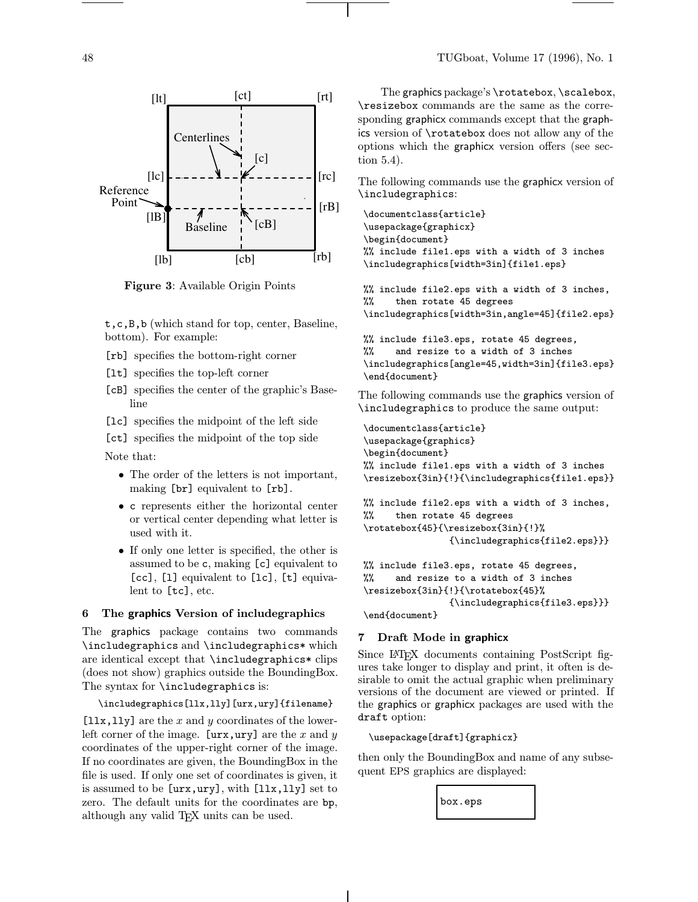

Figure 3: Available Origin Points

t,c,B,b (which stand for top, center, Baseline, bottom). For example:

- [rb] specifies the bottom-right corner
- [lt] specifies the top-left corner
- [cB] specifies the center of the graphic's Baseline
- [lc] specifies the midpoint of the left side
- [ct] specifies the midpoint of the top side

Note that:

- The order of the letters is not important, making [br] equivalent to [rb].
- c represents either the horizontal center or vertical center depending what letter is used with it.
- If only one letter is specified, the other is assumed to be c, making [c] equivalent to [cc], [1] equivalent to [1c], [t] equivalent to [tc], etc.

#### 6 The graphics Version of includegraphics

The graphics package contains two commands \includegraphics and \includegraphics\* which are identical except that \includegraphics\* clips (does not show) graphics outside the BoundingBox. The syntax for **\includegraphics** is:

#### \includegraphics[llx,lly][urx,ury]{filename}

 $[11x, 11y]$  are the x and y coordinates of the lowerleft corner of the image.  $[urx,ury]$  are the x and y coordinates of the upper-right corner of the image. If no coordinates are given, the BoundingBox in the file is used. If only one set of coordinates is given, it is assumed to be [urx,ury], with [llx,lly] set to zero. The default units for the coordinates are bp, although any valid T<sub>EX</sub> units can be used.

The graphics package's \rotatebox, \scalebox, \resizebox commands are the same as the corresponding graphicx commands except that the graphics version of \rotatebox does not allow any of the options which the graphicx version offers (see section 5.4).

The following commands use the graphicx version of \includegraphics:

```
\documentclass{article}
\usepackage{graphicx}
\begin{document}
%% include file1.eps with a width of 3 inches
\includegraphics[width=3in]{file1.eps}
```

```
%% include file2.eps with a width of 3 inches,
%% then rotate 45 degrees
\includegraphics[width=3in,angle=45]{file2.eps}
```

```
%% include file3.eps, rotate 45 degrees,
%% and resize to a width of 3 inches
\includegraphics[angle=45,width=3in]{file3.eps}
\end{document}
```
The following commands use the graphics version of \includegraphics to produce the same output:

```
\documentclass{article}
\usepackage{graphics}
\begin{document}
%% include file1.eps with a width of 3 inches
\resizebox{3in}{!}{\includegraphics{file1.eps}}
```

```
%% include file2.eps with a width of 3 inches,
%% then rotate 45 degrees
\rotatebox{45}{\resizebox{3in}{!}%
                {\includegraphics{file2.eps}}}
```

```
%% include file3.eps, rotate 45 degrees,
%% and resize to a width of 3 inches
\resizebox{3in}{!}{\rotatebox{45}%
                {\includegraphics{file3.eps}}}
```
\end{document}

# 7 Draft Mode in graphicx

Since L<sup>A</sup>TEX documents containing PostScript figures take longer to display and print, it often is desirable to omit the actual graphic when preliminary versions of the document are viewed or printed. If the graphics or graphicx packages are used with the draft option:

```
\usepackage[draft]{graphicx}
```
then only the BoundingBox and name of any subsequent EPS graphics are displayed:

box.eps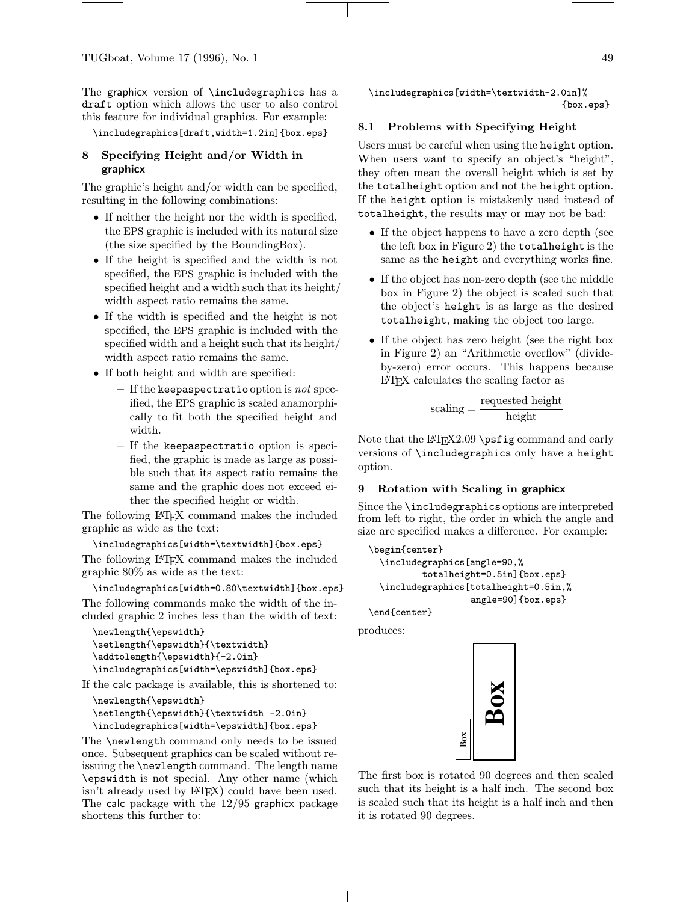The graphicx version of \includegraphics has a draft option which allows the user to also control this feature for individual graphics. For example:

\includegraphics[draft,width=1.2in]{box.eps}

# 8 Specifying Height and/or Width in graphicx

The graphic's height and/or width can be specified, resulting in the following combinations:

- If neither the height nor the width is specified, the EPS graphic is included with its natural size (the size specified by the BoundingBox).
- If the height is specified and the width is not specified, the EPS graphic is included with the specified height and a width such that its height/ width aspect ratio remains the same.
- If the width is specified and the height is not specified, the EPS graphic is included with the specified width and a height such that its height/ width aspect ratio remains the same.
- If both height and width are specified:
	- If the keepaspectratio option is not specified, the EPS graphic is scaled anamorphically to fit both the specified height and width.
	- If the keepaspectratio option is specified, the graphic is made as large as possible such that its aspect ratio remains the same and the graphic does not exceed either the specified height or width.

The following L<sup>A</sup>TEX command makes the included graphic as wide as the text:

\includegraphics[width=\textwidth]{box.eps}

The following LAT<sub>EX</sub> command makes the included graphic 80% as wide as the text:

\includegraphics[width=0.80\textwidth]{box.eps} The following commands make the width of the included graphic 2 inches less than the width of text:

```
\newlength{\epswidth}
\setlength{\epswidth}{\textwidth}
\addtolength{\epswidth}{-2.0in}
\includegraphics[width=\epswidth]{box.eps}
```
If the calc package is available, this is shortened to:

```
\newlength{\epswidth}
\setlength{\epswidth}{\textwidth -2.0in}
\includegraphics[width=\epswidth]{box.eps}
```
The \newlength command only needs to be issued once. Subsequent graphics can be scaled without reissuing the \newlength command. The length name \epswidth is not special. Any other name (which isn't already used by L<sup>AT</sup>EX) could have been used. The calc package with the 12/95 graphicx package shortens this further to:

\includegraphics[width=\textwidth-2.0in]% {box.eps}

#### 8.1 Problems with Specifying Height

Users must be careful when using the height option. When users want to specify an object's "height", they often mean the overall height which is set by the totalheight option and not the height option. If the height option is mistakenly used instead of totalheight, the results may or may not be bad:

- If the object happens to have a zero depth (see the left box in Figure 2) the totalheight is the same as the height and everything works fine.
- If the object has non-zero depth (see the middle box in Figure 2) the object is scaled such that the object's height is as large as the desired totalheight, making the object too large.
- If the object has zero height (see the right box in Figure 2) an "Arithmetic overflow" (divideby-zero) error occurs. This happens because L<sup>A</sup>TEX calculates the scaling factor as

$$
scaling = \frac{required \ height}{height}
$$

Note that the  $LATEX2.09$  \psfig command and early versions of \includegraphics only have a height option.

#### 9 Rotation with Scaling in graphicx

Since the \includegraphics options are interpreted from left to right, the order in which the angle and size are specified makes a difference. For example:

```
\begin{center}
 \includegraphics[angle=90,%
         totalheight=0.5in]{box.eps}
 \includegraphics[totalheight=0.5in,%
                   angle=90]{box.eps}
```
\end{center}

produces:



The first box is rotated 90 degrees and then scaled such that its height is a half inch. The second box is scaled such that its height is a half inch and then it is rotated 90 degrees.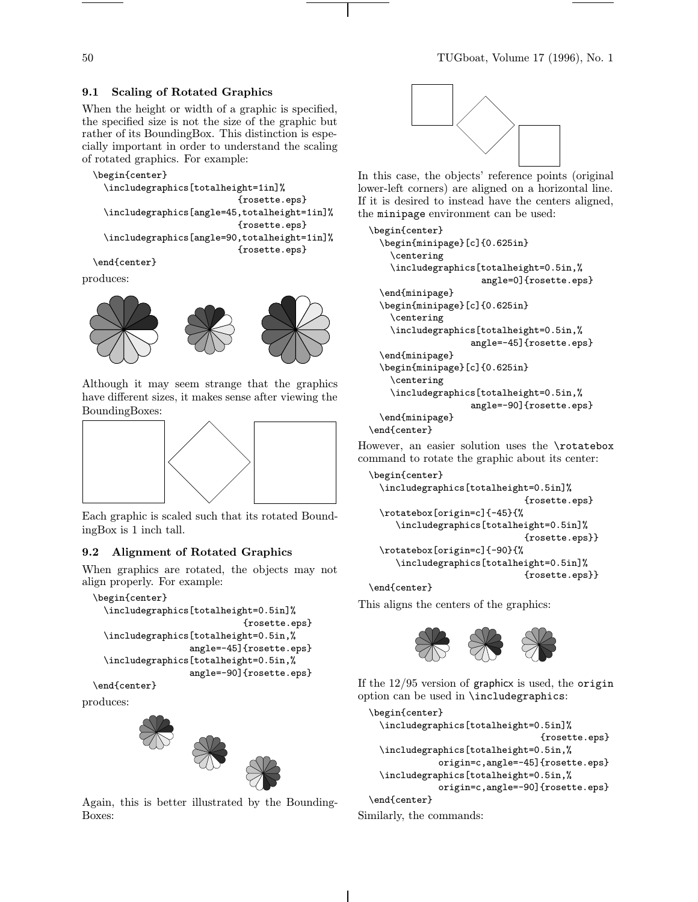# 9.1 Scaling of Rotated Graphics

When the height or width of a graphic is specified, the specified size is not the size of the graphic but rather of its BoundingBox. This distinction is especially important in order to understand the scaling of rotated graphics. For example:

```
\begin{center}
```

```
\includegraphics[totalheight=1in]%
                         {rosette.eps}
\includegraphics[angle=45,totalheight=1in]%
                         {rosette.eps}
\includegraphics[angle=90,totalheight=1in]%
                         {rosette.eps}
```
\end{center}

produces:



Although it may seem strange that the graphics have different sizes, it makes sense after viewing the BoundingBoxes:



Each graphic is scaled such that its rotated BoundingBox is 1 inch tall.

# 9.2 Alignment of Rotated Graphics

When graphics are rotated, the objects may not align properly. For example:

```
\begin{center}
```

```
\includegraphics[totalheight=0.5in]%
                          {rosette.eps}
\includegraphics[totalheight=0.5in,%
                angle=-45]{rosette.eps}
\includegraphics[totalheight=0.5in,%
                angle=-90]{rosette.eps}
```
\end{center}

produces:



Again, this is better illustrated by the Bounding-Boxes:



In this case, the objects' reference points (original lower-left corners) are aligned on a horizontal line. If it is desired to instead have the centers aligned, the minipage environment can be used:

```
\begin{center}
 \begin{minipage}[c]{0.625in}
    \centering
    \includegraphics[totalheight=0.5in,%
                     angle=0]{rosette.eps}
 \end{minipage}
 \begin{minipage}[c]{0.625in}
    \centering
    \includegraphics[totalheight=0.5in,%
                   angle=-45]{rosette.eps}
 \end{minipage}
 \begin{minipage}[c]{0.625in}
    \centering
    \includegraphics[totalheight=0.5in,%
                   angle=-90]{rosette.eps}
 \end{minipage}
\end{center}
```
However, an easier solution uses the \rotatebox command to rotate the graphic about its center:

```
\begin{center}
 \includegraphics[totalheight=0.5in]%
                             {rosette.eps}
 \rotatebox[origin=c]{-45}{%
    \includegraphics[totalheight=0.5in]%
                             {rosette.eps}}
 \rotatebox[origin=c]{-90}{%
    \includegraphics[totalheight=0.5in]%
                             {rosette.eps}}
```
\end{center}

This aligns the centers of the graphics:



If the  $12/95$  version of graphicx is used, the origin option can be used in \includegraphics:

```
\begin{center}
    \includegraphics[totalheight=0.5in]%
                                  {rosette.eps}
   \includegraphics[totalheight=0.5in,%
               origin=c,angle=-45]{rosette.eps}
    \includegraphics[totalheight=0.5in,%
               origin=c,angle=-90]{rosette.eps}
  \end{center}
Similarly, the commands:
```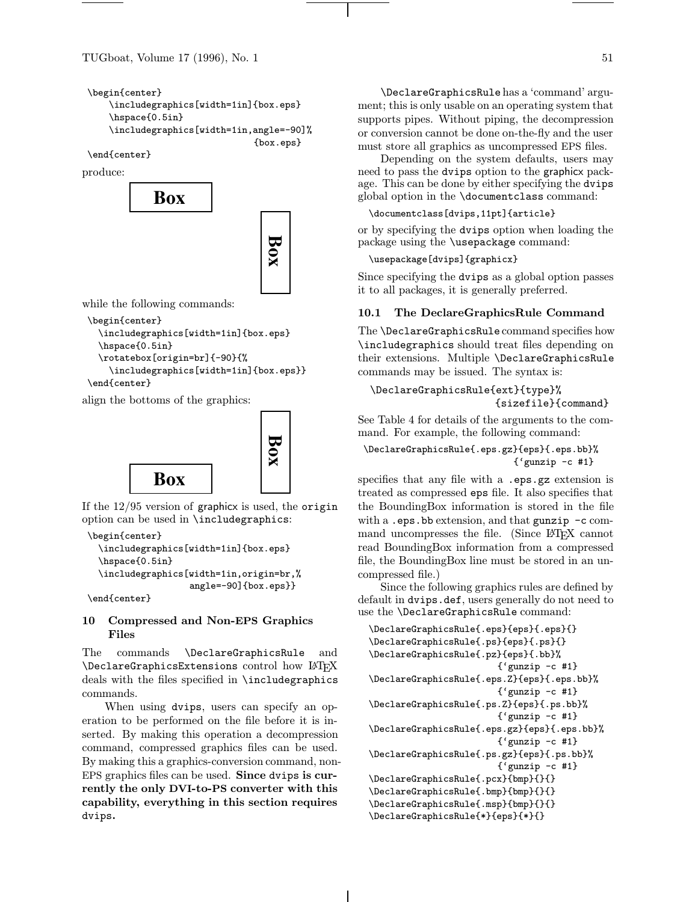TUGboat, Volume 17 (1996), No. 1  $51$ 

```
\begin{center}
    \includegraphics[width=1in]{box.eps}
    \hspace{0.5in}
    \includegraphics[width=1in,angle=-90]%
                                {box.eps}
```
\end{center}

produce:



while the following commands:

```
\begin{center}
  \includegraphics[width=1in]{box.eps}
  \hspace{0.5in}
  \rotatebox[origin=br]{-90}{%
    \includegraphics[width=1in]{box.eps}}
\end{center}
```
align the bottoms of the graphics:



If the 12/95 version of graphicx is used, the origin option can be used in \includegraphics:

```
\begin{center}
  \includegraphics[width=1in]{box.eps}
  \hspace{0.5in}
  \includegraphics[width=1in,origin=br,%
                   angle=-90]{box.eps}}
```
\end{center}

# 10 Compressed and Non-EPS Graphics Files

The commands \DeclareGraphicsRule and \DeclareGraphicsExtensions control how LATEX deals with the files specified in \includegraphics commands.

When using dvips, users can specify an operation to be performed on the file before it is inserted. By making this operation a decompression command, compressed graphics files can be used. By making this a graphics-conversion command, non-EPS graphics files can be used. Since dvips is currently the only DVI-to-PS converter with this capability, everything in this section requires dvips.

\DeclareGraphicsRulehas a 'command' argument; this is only usable on an operating system that supports pipes. Without piping, the decompression or conversion cannot be done on-the-fly and the user must store all graphics as uncompressed EPS files.

Depending on the system defaults, users may need to pass the dvips option to the graphicx package. This can be done by either specifying the dvips global option in the \documentclass command:

```
\documentclass[dvips,11pt]{article}
```
or by specifying the dvips option when loading the package using the \usepackage command:

```
\usepackage[dvips]{graphicx}
```
Since specifying the dvips as a global option passes it to all packages, it is generally preferred.

# 10.1 The DeclareGraphicsRule Command

The \DeclareGraphicsRule command specifies how \includegraphics should treat files depending on their extensions. Multiple \DeclareGraphicsRule commands may be issued. The syntax is:

```
\DeclareGraphicsRule{ext}{type}%
                     {sizefile}{command}
```
See Table 4 for details of the arguments to the command. For example, the following command:

# \DeclareGraphicsRule{.eps.gz}{eps}{.eps.bb}% {'gunzip -c #1}

specifies that any file with a .eps.gz extension is treated as compressed eps file. It also specifies that the BoundingBox information is stored in the file with a .eps.bb extension, and that gunzip  $-c$  command uncompresses the file. (Since LATEX cannot read BoundingBox information from a compressed file, the BoundingBox line must be stored in an uncompressed file.)

Since the following graphics rules are defined by default in dvips.def, users generally do not need to use the \DeclareGraphicsRule command:

```
\DeclareGraphicsRule{.eps}{eps}{.eps}{}
\DeclareGraphicsRule{.ps}{eps}{.ps}{}
\DeclareGraphicsRule{.pz}{eps}{.bb}%
                        {'gunzip -c #1}
\DeclareGraphicsRule{.eps.Z}{eps}{.eps.bb}%
                        {^{'}gunzip -c #1}
\DeclareGraphicsRule{.ps.Z}{eps}{.ps.bb}%
                        {'gunzip -c #1}
\DeclareGraphicsRule{.eps.gz}{eps}{.eps.bb}%
                        {'gunzip -c #1}
\DeclareGraphicsRule{.ps.gz}{eps}{.ps.bb}%
                        {^{'}gunzip -c #1}
\DeclareGraphicsRule{.pcx}{bmp}{}{}
\DeclareGraphicsRule{.bmp}{bmp}{}{}
```
\DeclareGraphicsRule{.msp}{bmp}{}{}

\DeclareGraphicsRule{\*}{eps}{\*}{}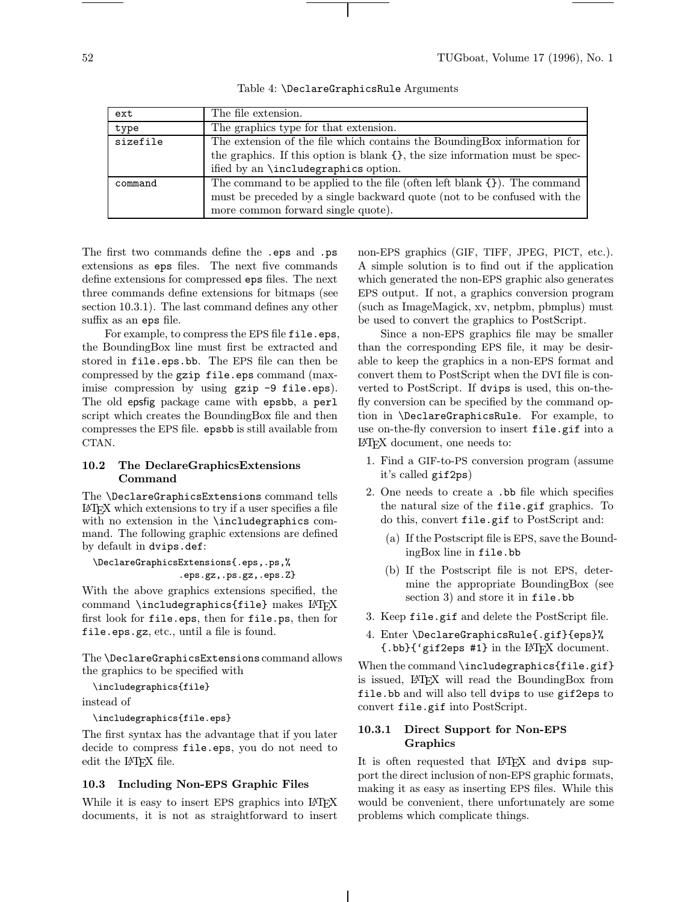| ext      | The file extension.                                                               |
|----------|-----------------------------------------------------------------------------------|
| type     | The graphics type for that extension.                                             |
| sizefile | The extension of the file which contains the BoundingBox information for          |
|          | the graphics. If this option is blank $\{\}$ , the size information must be spec- |
|          | ified by an <i>\includegraphics</i> option.                                       |
| command  | The command to be applied to the file (often left blank $\{\}$ ). The command     |
|          | must be preceded by a single backward quote (not to be confused with the          |
|          | more common forward single quote).                                                |

Table 4: \DeclareGraphicsRule Arguments

The first two commands define the .eps and .ps extensions as eps files. The next five commands define extensions for compressed eps files. The next three commands define extensions for bitmaps (see section 10.3.1). The last command defines any other suffix as an eps file.

For example, to compress the EPS file file.eps, the BoundingBox line must first be extracted and stored in file.eps.bb. The EPS file can then be compressed by the gzip file.eps command (maximise compression by using gzip -9 file.eps). The old epsfig package came with epsbb, a perl script which creates the BoundingBox file and then compresses the EPS file. epsbb is still available from CTAN.

#### 10.2 The DeclareGraphicsExtensions Command

The \DeclareGraphicsExtensions command tells L<sup>A</sup>TEX which extensions to try if a user specifies a file with no extension in the \includegraphics command. The following graphic extensions are defined by default in dvips.def:

\DeclareGraphicsExtensions{.eps,.ps,% .eps.gz,.ps.gz,.eps.Z}

With the above graphics extensions specified, the command \includegraphics{file} makes LATEX first look for file.eps, then for file.ps, then for file.eps.gz, etc., until a file is found.

The \DeclareGraphicsExtensions command allows the graphics to be specified with

```
\includegraphics{file}
```
instead of

```
\includegraphics{file.eps}
```
The first syntax has the advantage that if you later decide to compress file.eps, you do not need to edit the L<sup>AT</sup>EX file.

#### 10.3 Including Non-EPS Graphic Files

While it is easy to insert EPS graphics into LAT<sub>EX</sub> documents, it is not as straightforward to insert non-EPS graphics (GIF, TIFF, JPEG, PICT, etc.). A simple solution is to find out if the application which generated the non-EPS graphic also generates EPS output. If not, a graphics conversion program (such as ImageMagick, xv, netpbm, pbmplus) must be used to convert the graphics to PostScript.

Since a non-EPS graphics file may be smaller than the corresponding EPS file, it may be desirable to keep the graphics in a non-EPS format and convert them to PostScript when the DVI file is converted to PostScript. If dvips is used, this on-thefly conversion can be specified by the command option in \DeclareGraphicsRule. For example, to use on-the-fly conversion to insert file.gif into a L<sup>A</sup>TEX document, one needs to:

- 1. Find a GIF-to-PS conversion program (assume it's called gif2ps)
- 2. One needs to create a .bb file which specifies the natural size of the file.gif graphics. To do this, convert file.gif to PostScript and:
	- (a) If the Postscript file is EPS, save the BoundingBox line in file.bb
	- (b) If the Postscript file is not EPS, determine the appropriate BoundingBox (see section 3) and store it in file.bb
- 3. Keep file.gif and delete the PostScript file.
- 4. Enter \DeclareGraphicsRule{.gif}{eps}%  $\{\text{.bb}\}$  ('gif2eps #1} in the L<sup>AT</sup>FX document.

When the command \includegraphics{file.gif} is issued, L<sup>A</sup>TEX will read the BoundingBox from file.bb and will also tell dvips to use gif2eps to convert file.gif into PostScript.

#### 10.3.1 Direct Support for Non-EPS Graphics

It is often requested that LAT<sub>EX</sub> and dvips support the direct inclusion of non-EPS graphic formats, making it as easy as inserting EPS files. While this would be convenient, there unfortunately are some problems which complicate things.